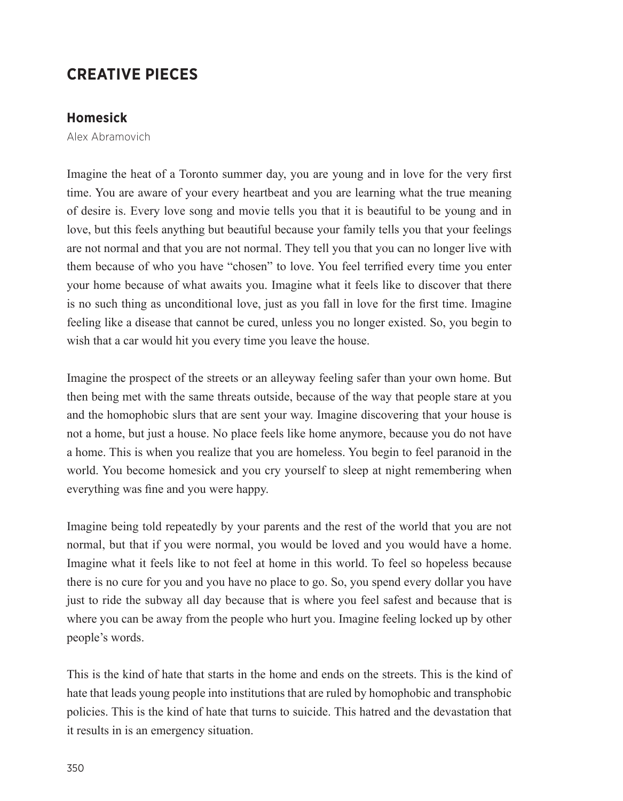## **CREATIVE PIECES**

## **Homesick**

Alex Abramovich

Imagine the heat of a Toronto summer day, you are young and in love for the very first time. You are aware of your every heartbeat and you are learning what the true meaning of desire is. Every love song and movie tells you that it is beautiful to be young and in love, but this feels anything but beautiful because your family tells you that your feelings are not normal and that you are not normal. They tell you that you can no longer live with them because of who you have "chosen" to love. You feel terrified every time you enter your home because of what awaits you. Imagine what it feels like to discover that there is no such thing as unconditional love, just as you fall in love for the first time. Imagine feeling like a disease that cannot be cured, unless you no longer existed. So, you begin to wish that a car would hit you every time you leave the house.

Imagine the prospect of the streets or an alleyway feeling safer than your own home. But then being met with the same threats outside, because of the way that people stare at you and the homophobic slurs that are sent your way. Imagine discovering that your house is not a home, but just a house. No place feels like home anymore, because you do not have a home. This is when you realize that you are homeless. You begin to feel paranoid in the world. You become homesick and you cry yourself to sleep at night remembering when everything was fine and you were happy.

Imagine being told repeatedly by your parents and the rest of the world that you are not normal, but that if you were normal, you would be loved and you would have a home. Imagine what it feels like to not feel at home in this world. To feel so hopeless because there is no cure for you and you have no place to go. So, you spend every dollar you have just to ride the subway all day because that is where you feel safest and because that is where you can be away from the people who hurt you. Imagine feeling locked up by other people's words.

This is the kind of hate that starts in the home and ends on the streets. This is the kind of hate that leads young people into institutions that are ruled by homophobic and transphobic policies. This is the kind of hate that turns to suicide. This hatred and the devastation that it results in is an emergency situation.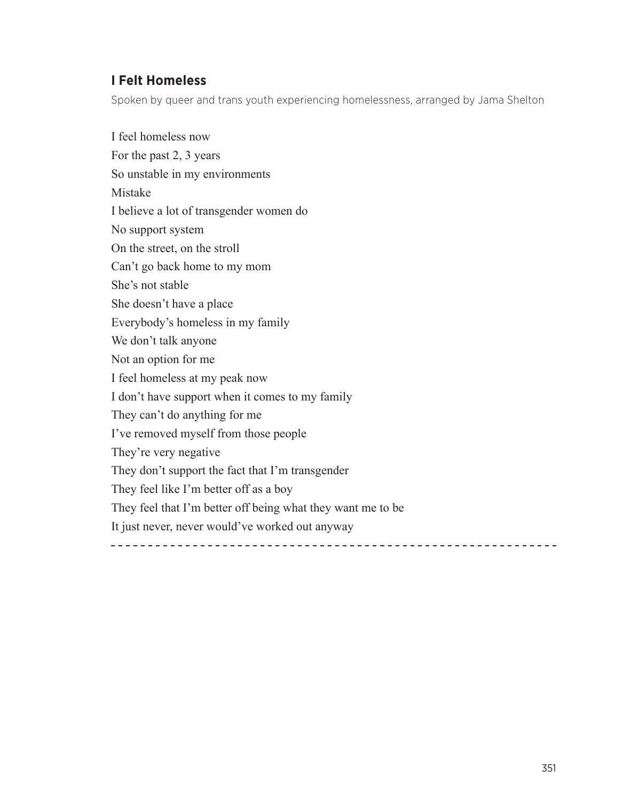## **I Felt Homeless**

Spoken by queer and trans youth experiencing homelessness, arranged by Jama Shelton

I feel homeless now For the past 2, 3 years So unstable in my environments Mistake I believe a lot of transgender women do No support system On the street, on the stroll Can't go back home to my mom She's not stable She doesn't have a place Everybody's homeless in my family We don't talk anyone Not an option for me I feel homeless at my peak now I don't have support when it comes to my family They can't do anything for me I've removed myself from those people They're very negative They don't support the fact that I'm transgender They feel like I'm better off as a boy They feel that I'm better off being what they want me to be It just never, never would've worked out anyway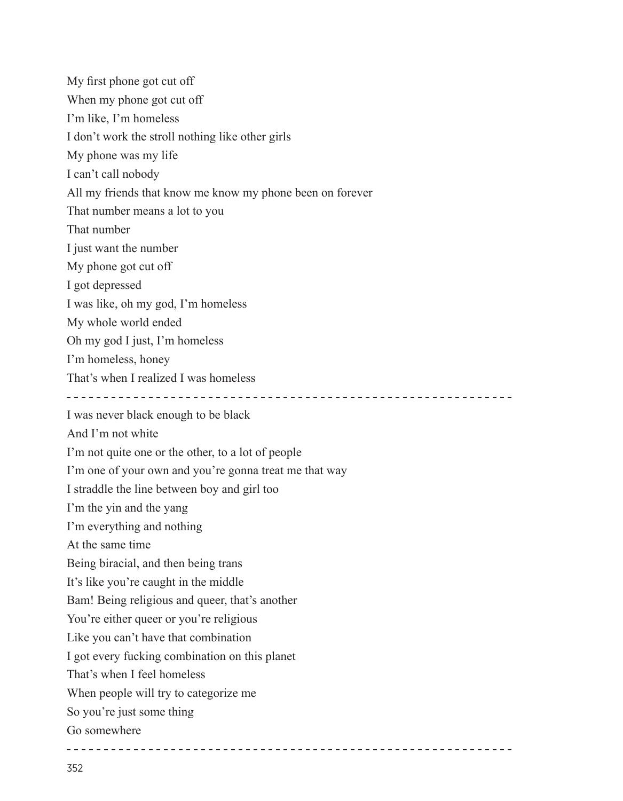My first phone got cut off When my phone got cut off I'm like, I'm homeless I don't work the stroll nothing like other girls My phone was my life I can't call nobody All my friends that know me know my phone been on forever That number means a lot to you That number I just want the number My phone got cut off I got depressed I was like, oh my god, I'm homeless My whole world ended Oh my god I just, I'm homeless I'm homeless, honey That's when I realized I was homeless I was never black enough to be black And I'm not white I'm not quite one or the other, to a lot of people I'm one of your own and you're gonna treat me that way I straddle the line between boy and girl too I'm the yin and the yang I'm everything and nothing At the same time Being biracial, and then being trans It's like you're caught in the middle Bam! Being religious and queer, that's another You're either queer or you're religious Like you can't have that combination I got every fucking combination on this planet That's when I feel homeless When people will try to categorize me So you're just some thing Go somewhere